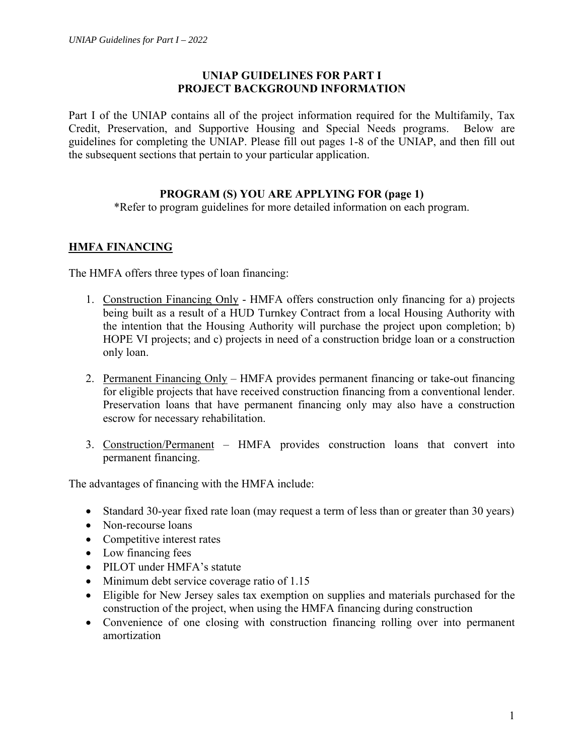### **UNIAP GUIDELINES FOR PART I PROJECT BACKGROUND INFORMATION**

Part I of the UNIAP contains all of the project information required for the Multifamily, Tax Credit, Preservation, and Supportive Housing and Special Needs programs. Below are guidelines for completing the UNIAP. Please fill out pages 1-8 of the UNIAP, and then fill out the subsequent sections that pertain to your particular application.

### **PROGRAM (S) YOU ARE APPLYING FOR (page 1)**

\*Refer to program guidelines for more detailed information on each program.

### **HMFA FINANCING**

The HMFA offers three types of loan financing:

- 1. Construction Financing Only HMFA offers construction only financing for a) projects being built as a result of a HUD Turnkey Contract from a local Housing Authority with the intention that the Housing Authority will purchase the project upon completion; b) HOPE VI projects; and c) projects in need of a construction bridge loan or a construction only loan.
- 2. Permanent Financing Only HMFA provides permanent financing or take-out financing for eligible projects that have received construction financing from a conventional lender. Preservation loans that have permanent financing only may also have a construction escrow for necessary rehabilitation.
- 3. Construction/Permanent HMFA provides construction loans that convert into permanent financing.

The advantages of financing with the HMFA include:

- Standard 30-year fixed rate loan (may request a term of less than or greater than 30 years)
- Non-recourse loans
- Competitive interest rates
- Low financing fees
- PILOT under HMFA's statute
- Minimum debt service coverage ratio of 1.15
- Eligible for New Jersey sales tax exemption on supplies and materials purchased for the construction of the project, when using the HMFA financing during construction
- Convenience of one closing with construction financing rolling over into permanent amortization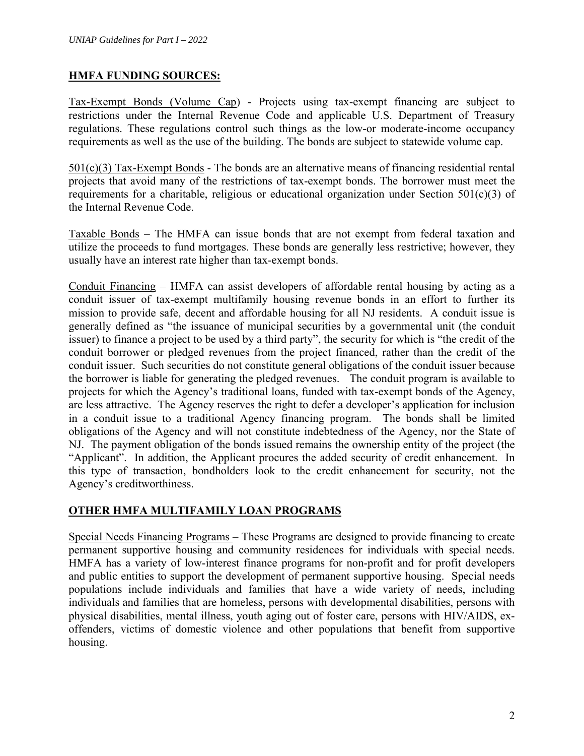### **HMFA FUNDING SOURCES:**

Tax-Exempt Bonds (Volume Cap) - Projects using tax-exempt financing are subject to restrictions under the Internal Revenue Code and applicable U.S. Department of Treasury regulations. These regulations control such things as the low-or moderate-income occupancy requirements as well as the use of the building. The bonds are subject to statewide volume cap.

501(c)(3) Tax-Exempt Bonds - The bonds are an alternative means of financing residential rental projects that avoid many of the restrictions of tax-exempt bonds. The borrower must meet the requirements for a charitable, religious or educational organization under Section 501(c)(3) of the Internal Revenue Code.

Taxable Bonds – The HMFA can issue bonds that are not exempt from federal taxation and utilize the proceeds to fund mortgages. These bonds are generally less restrictive; however, they usually have an interest rate higher than tax-exempt bonds.

Conduit Financing – HMFA can assist developers of affordable rental housing by acting as a conduit issuer of tax-exempt multifamily housing revenue bonds in an effort to further its mission to provide safe, decent and affordable housing for all NJ residents. A conduit issue is generally defined as "the issuance of municipal securities by a governmental unit (the conduit issuer) to finance a project to be used by a third party", the security for which is "the credit of the conduit borrower or pledged revenues from the project financed, rather than the credit of the conduit issuer. Such securities do not constitute general obligations of the conduit issuer because the borrower is liable for generating the pledged revenues. The conduit program is available to projects for which the Agency's traditional loans, funded with tax-exempt bonds of the Agency, are less attractive. The Agency reserves the right to defer a developer's application for inclusion in a conduit issue to a traditional Agency financing program. The bonds shall be limited obligations of the Agency and will not constitute indebtedness of the Agency, nor the State of NJ. The payment obligation of the bonds issued remains the ownership entity of the project (the "Applicant". In addition, the Applicant procures the added security of credit enhancement. In this type of transaction, bondholders look to the credit enhancement for security, not the Agency's creditworthiness.

## **OTHER HMFA MULTIFAMILY LOAN PROGRAMS**

Special Needs Financing Programs – These Programs are designed to provide financing to create permanent supportive housing and community residences for individuals with special needs. HMFA has a variety of low-interest finance programs for non-profit and for profit developers and public entities to support the development of permanent supportive housing. Special needs populations include individuals and families that have a wide variety of needs, including individuals and families that are homeless, persons with developmental disabilities, persons with physical disabilities, mental illness, youth aging out of foster care, persons with HIV/AIDS, exoffenders, victims of domestic violence and other populations that benefit from supportive housing.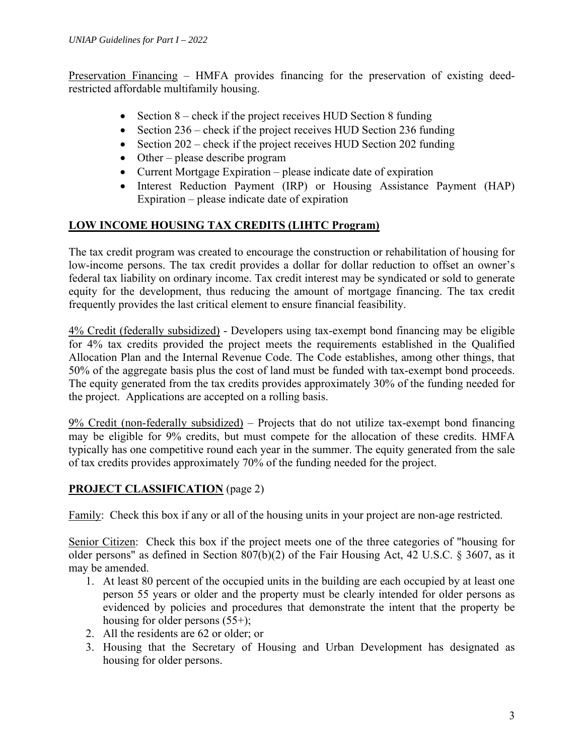Preservation Financing – HMFA provides financing for the preservation of existing deedrestricted affordable multifamily housing.

- Section  $8$  check if the project receives HUD Section 8 funding
- Section  $236$  check if the project receives HUD Section 236 funding
- Section  $202$  check if the project receives HUD Section 202 funding
- Other please describe program
- Current Mortgage Expiration please indicate date of expiration
- Interest Reduction Payment (IRP) or Housing Assistance Payment (HAP) Expiration – please indicate date of expiration

## **LOW INCOME HOUSING TAX CREDITS (LIHTC Program)**

The tax credit program was created to encourage the construction or rehabilitation of housing for low-income persons. The tax credit provides a dollar for dollar reduction to offset an owner's federal tax liability on ordinary income. Tax credit interest may be syndicated or sold to generate equity for the development, thus reducing the amount of mortgage financing. The tax credit frequently provides the last critical element to ensure financial feasibility.

4% Credit (federally subsidized) - Developers using tax-exempt bond financing may be eligible for 4% tax credits provided the project meets the requirements established in the Qualified Allocation Plan and the Internal Revenue Code. The Code establishes, among other things, that 50% of the aggregate basis plus the cost of land must be funded with tax-exempt bond proceeds. The equity generated from the tax credits provides approximately 30% of the funding needed for the project. Applications are accepted on a rolling basis.

 $9\%$  Credit (non-federally subsidized) – Projects that do not utilize tax-exempt bond financing may be eligible for 9% credits, but must compete for the allocation of these credits. HMFA typically has one competitive round each year in the summer. The equity generated from the sale of tax credits provides approximately 70% of the funding needed for the project.

# **PROJECT CLASSIFICATION** (page 2)

Family: Check this box if any or all of the housing units in your project are non-age restricted.

Senior Citizen: Check this box if the project meets one of the three categories of "housing for older persons" as defined in Section 807(b)(2) of the Fair Housing Act, 42 U.S.C. § 3607, as it may be amended.

- 1. At least 80 percent of the occupied units in the building are each occupied by at least one person 55 years or older and the property must be clearly intended for older persons as evidenced by policies and procedures that demonstrate the intent that the property be housing for older persons  $(55+)$ ;
- 2. All the residents are 62 or older; or
- 3. Housing that the Secretary of Housing and Urban Development has designated as housing for older persons.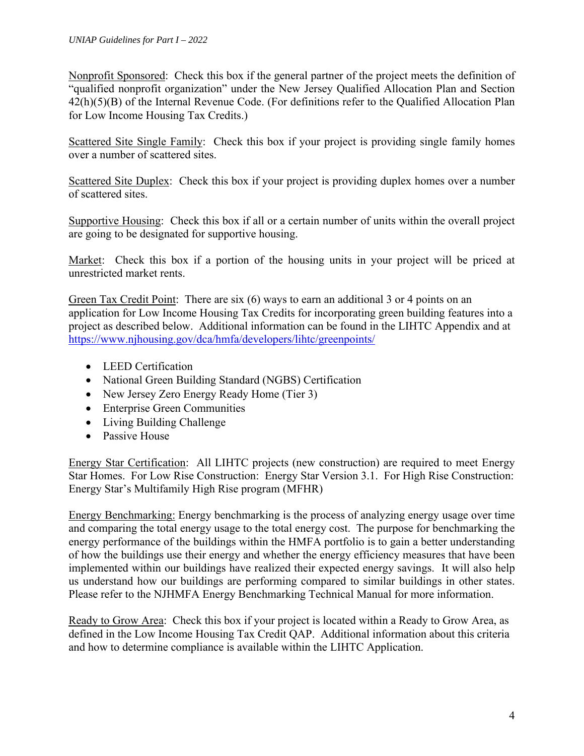Nonprofit Sponsored: Check this box if the general partner of the project meets the definition of "qualified nonprofit organization" under the New Jersey Qualified Allocation Plan and Section 42(h)(5)(B) of the Internal Revenue Code. (For definitions refer to the Qualified Allocation Plan for Low Income Housing Tax Credits.)

Scattered Site Single Family: Check this box if your project is providing single family homes over a number of scattered sites.

Scattered Site Duplex: Check this box if your project is providing duplex homes over a number of scattered sites.

Supportive Housing: Check this box if all or a certain number of units within the overall project are going to be designated for supportive housing.

Market: Check this box if a portion of the housing units in your project will be priced at unrestricted market rents.

Green Tax Credit Point: There are six (6) ways to earn an additional 3 or 4 points on an application for Low Income Housing Tax Credits for incorporating green building features into a project as described below. Additional information can be found in the LIHTC Appendix and at https://www.njhousing.gov/dca/hmfa/developers/lihtc/greenpoints/

- LEED Certification
- National Green Building Standard (NGBS) Certification
- New Jersey Zero Energy Ready Home (Tier 3)
- Enterprise Green Communities
- Living Building Challenge
- Passive House

Energy Star Certification: All LIHTC projects (new construction) are required to meet Energy Star Homes. For Low Rise Construction: Energy Star Version 3.1. For High Rise Construction: Energy Star's Multifamily High Rise program (MFHR)

Energy Benchmarking: Energy benchmarking is the process of analyzing energy usage over time and comparing the total energy usage to the total energy cost. The purpose for benchmarking the energy performance of the buildings within the HMFA portfolio is to gain a better understanding of how the buildings use their energy and whether the energy efficiency measures that have been implemented within our buildings have realized their expected energy savings. It will also help us understand how our buildings are performing compared to similar buildings in other states. Please refer to the NJHMFA Energy Benchmarking Technical Manual for more information.

Ready to Grow Area: Check this box if your project is located within a Ready to Grow Area, as defined in the Low Income Housing Tax Credit QAP. Additional information about this criteria and how to determine compliance is available within the LIHTC Application.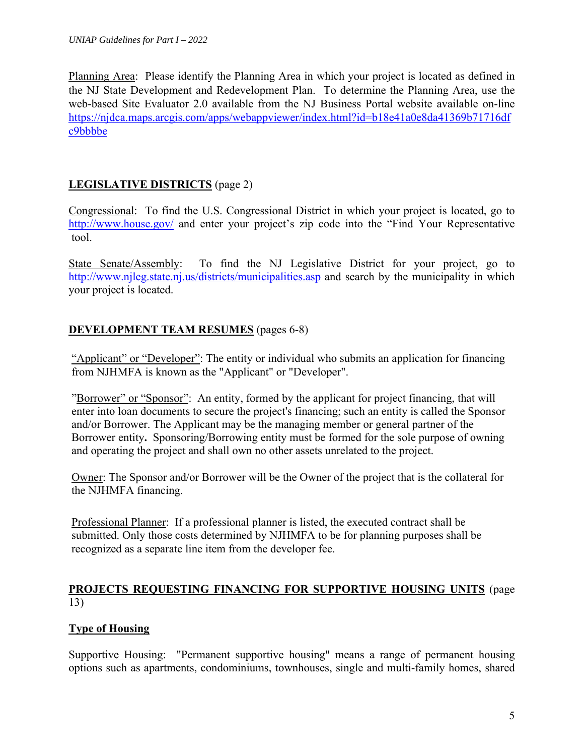Planning Area: Please identify the Planning Area in which your project is located as defined in the NJ State Development and Redevelopment Plan. To determine the Planning Area, use the web-based Site Evaluator 2.0 available from the NJ Business Portal website available on-line https://njdca.maps.arcgis.com/apps/webappviewer/index.html?id=b18e41a0e8da41369b71716df c9bbbbe

# **LEGISLATIVE DISTRICTS** (page 2)

Congressional: To find the U.S. Congressional District in which your project is located, go to http://www.house.gov/ and enter your project's zip code into the "Find Your Representative tool.

State Senate/Assembly: To find the NJ Legislative District for your project, go to http://www.njleg.state.nj.us/districts/municipalities.asp and search by the municipality in which your project is located.

# **DEVELOPMENT TEAM RESUMES** (pages 6-8)

"Applicant" or "Developer": The entity or individual who submits an application for financing from NJHMFA is known as the "Applicant" or "Developer".

"Borrower" or "Sponsor": An entity, formed by the applicant for project financing, that will enter into loan documents to secure the project's financing; such an entity is called the Sponsor and/or Borrower. The Applicant may be the managing member or general partner of the Borrower entity**.** Sponsoring/Borrowing entity must be formed for the sole purpose of owning and operating the project and shall own no other assets unrelated to the project.

Owner: The Sponsor and/or Borrower will be the Owner of the project that is the collateral for the NJHMFA financing.

Professional Planner: If a professional planner is listed, the executed contract shall be submitted. Only those costs determined by NJHMFA to be for planning purposes shall be recognized as a separate line item from the developer fee.

## **PROJECTS REQUESTING FINANCING FOR SUPPORTIVE HOUSING UNITS** (page 13)

# **Type of Housing**

Supportive Housing: "Permanent supportive housing" means a range of permanent housing options such as apartments, condominiums, townhouses, single and multi-family homes, shared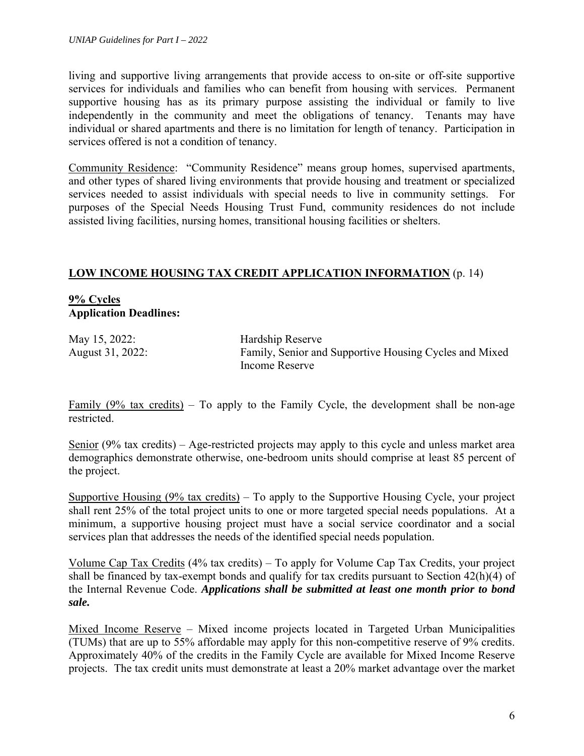living and supportive living arrangements that provide access to on-site or off-site supportive services for individuals and families who can benefit from housing with services. Permanent supportive housing has as its primary purpose assisting the individual or family to live independently in the community and meet the obligations of tenancy. Tenants may have individual or shared apartments and there is no limitation for length of tenancy. Participation in services offered is not a condition of tenancy.

Community Residence: "Community Residence" means group homes, supervised apartments, and other types of shared living environments that provide housing and treatment or specialized services needed to assist individuals with special needs to live in community settings. For purposes of the Special Needs Housing Trust Fund, community residences do not include assisted living facilities, nursing homes, transitional housing facilities or shelters.

## **LOW INCOME HOUSING TAX CREDIT APPLICATION INFORMATION** (p. 14)

## **9% Cycles Application Deadlines:**

| May 15, 2022:    | Hardship Reserve                                       |
|------------------|--------------------------------------------------------|
| August 31, 2022: | Family, Senior and Supportive Housing Cycles and Mixed |
|                  | Income Reserve                                         |

Family  $(9\%$  tax credits) – To apply to the Family Cycle, the development shall be non-age restricted.

Senior (9% tax credits) – Age-restricted projects may apply to this cycle and unless market area demographics demonstrate otherwise, one-bedroom units should comprise at least 85 percent of the project.

Supportive Housing (9% tax credits) – To apply to the Supportive Housing Cycle, your project shall rent 25% of the total project units to one or more targeted special needs populations. At a minimum, a supportive housing project must have a social service coordinator and a social services plan that addresses the needs of the identified special needs population.

Volume Cap Tax Credits (4% tax credits) – To apply for Volume Cap Tax Credits, your project shall be financed by tax-exempt bonds and qualify for tax credits pursuant to Section 42(h)(4) of the Internal Revenue Code. *Applications shall be submitted at least one month prior to bond sale.* 

Mixed Income Reserve – Mixed income projects located in Targeted Urban Municipalities (TUMs) that are up to 55% affordable may apply for this non-competitive reserve of 9% credits. Approximately 40% of the credits in the Family Cycle are available for Mixed Income Reserve projects. The tax credit units must demonstrate at least a 20% market advantage over the market